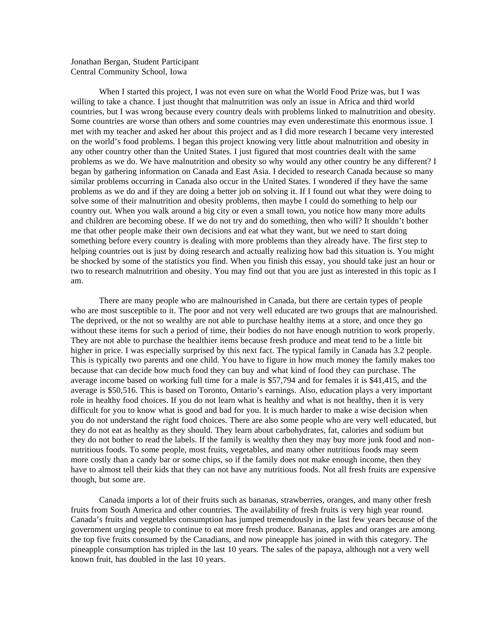## Jonathan Bergan, Student Participant Central Community School, Iowa

When I started this project, I was not even sure on what the World Food Prize was, but I was willing to take a chance. I just thought that malnutrition was only an issue in Africa and third world countries, but I was wrong because every country deals with problems linked to malnutrition and obesity. Some countries are worse than others and some countries may even underestimate this enormous issue. I met with my teacher and asked her about this project and as I did more research I became very interested on the world's food problems. I began this project knowing very little about malnutrition and obesity in any other country other than the United States. I just figured that most countries dealt with the same problems as we do. We have malnutrition and obesity so why would any other country be any different? I began by gathering information on Canada and East Asia. I decided to research Canada because so many similar problems occurring in Canada also occur in the United States. I wondered if they have the same problems as we do and if they are doing a better job on solving it. If I found out what they were doing to solve some of their malnutrition and obesity problems, then maybe I could do something to help our country out. When you walk around a big city or even a small town, you notice how many more adults and children are becoming obese. If we do not try and do something, then who will? It shouldn't bother me that other people make their own decisions and eat what they want, but we need to start doing something before every country is dealing with more problems than they already have. The first step to helping countries out is just by doing research and actually realizing how bad this situation is. You might be shocked by some of the statistics you find. When you finish this essay, you should take just an hour or two to research malnutrition and obesity. You may find out that you are just as interested in this topic as I am.

There are many people who are malnourished in Canada, but there are certain types of people who are most susceptible to it. The poor and not very well educated are two groups that are malnourished. The deprived, or the not so wealthy are not able to purchase healthy items at a store, and once they go without these items for such a period of time, their bodies do not have enough nutrition to work properly. They are not able to purchase the healthier items because fresh produce and meat tend to be a little bit higher in price. I was especially surprised by this next fact. The typical family in Canada has 3.2 people. This is typically two parents and one child. You have to figure in how much money the family makes too because that can decide how much food they can buy and what kind of food they can purchase. The average income based on working full time for a male is \$57,794 and for females it is \$41,415, and the average is \$50,516. This is based on Toronto, Ontario's earnings. Also, education plays a very important role in healthy food choices. If you do not learn what is healthy and what is not healthy, then it is very difficult for you to know what is good and bad for you. It is much harder to make a wise decision when you do not understand the right food choices. There are also some people who are very well educated, but they do not eat as healthy as they should. They learn about carbohydrates, fat, calories and sodium but they do not bother to read the labels. If the family is wealthy then they may buy more junk food and nonnutritious foods. To some people, most fruits, vegetables, and many other nutritious foods may seem more costly than a candy bar or some chips, so if the family does not make enough income, then they have to almost tell their kids that they can not have any nutritious foods. Not all fresh fruits are expensive though, but some are.

Canada imports a lot of their fruits such as bananas, strawberries, oranges, and many other fresh fruits from South America and other countries. The availability of fresh fruits is very high year round. Canada's fruits and vegetables consumption has jumped tremendously in the last few years because of the government urging people to continue to eat more fresh produce. Bananas, apples and oranges are among the top five fruits consumed by the Canadians, and now pineapple has joined in with this category. The pineapple consumption has tripled in the last 10 years. The sales of the papaya, although not a very well known fruit, has doubled in the last 10 years.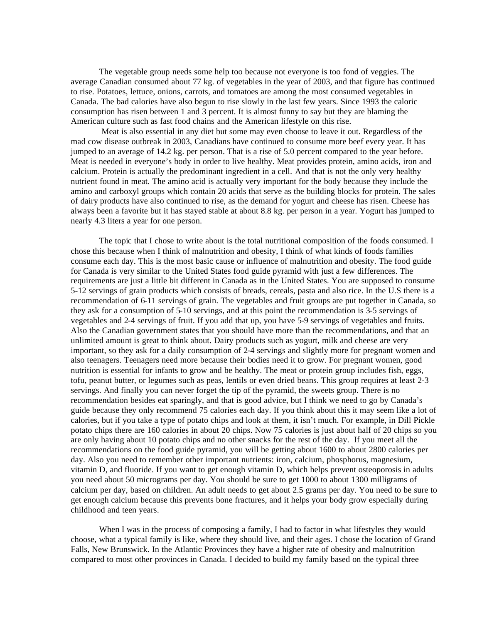The vegetable group needs some help too because not everyone is too fond of veggies. The average Canadian consumed about 77 kg. of vegetables in the year of 2003, and that figure has continued to rise. Potatoes, lettuce, onions, carrots, and tomatoes are among the most consumed vegetables in Canada. The bad calories have also begun to rise slowly in the last few years. Since 1993 the caloric consumption has risen between 1 and 3 percent. It is almost funny to say but they are blaming the American culture such as fast food chains and the American lifestyle on this rise.

 Meat is also essential in any diet but some may even choose to leave it out. Regardless of the mad cow disease outbreak in 2003, Canadians have continued to consume more beef every year. It has jumped to an average of 14.2 kg. per person. That is a rise of 5.0 percent compared to the year before. Meat is needed in everyone's body in order to live healthy. Meat provides protein, amino acids, iron and calcium. Protein is actually the predominant ingredient in a cell. And that is not the only very healthy nutrient found in meat. The amino acid is actually very important for the body because they include the amino and carboxyl groups which contain 20 acids that serve as the building blocks for protein. The sales of dairy products have also continued to rise, as the demand for yogurt and cheese has risen. Cheese has always been a favorite but it has stayed stable at about 8.8 kg. per person in a year. Yogurt has jumped to nearly 4.3 liters a year for one person.

The topic that I chose to write about is the total nutritional composition of the foods consumed. I chose this because when I think of malnutrition and obesity, I think of what kinds of foods families consume each day. This is the most basic cause or influence of malnutrition and obesity. The food guide for Canada is very similar to the United States food guide pyramid with just a few differences. The requirements are just a little bit different in Canada as in the United States. You are supposed to consume 5-12 servings of grain products which consists of breads, cereals, pasta and also rice. In the U.S there is a recommendation of 6-11 servings of grain. The vegetables and fruit groups are put together in Canada, so they ask for a consumption of 5-10 servings, and at this point the recommendation is 3-5 servings of vegetables and 2-4 servings of fruit. If you add that up, you have 5-9 servings of vegetables and fruits. Also the Canadian government states that you should have more than the recommendations, and that an unlimited amount is great to think about. Dairy products such as yogurt, milk and cheese are very important, so they ask for a daily consumption of 2-4 servings and slightly more for pregnant women and also teenagers. Teenagers need more because their bodies need it to grow. For pregnant women, good nutrition is essential for infants to grow and be healthy. The meat or protein group includes fish, eggs, tofu, peanut butter, or legumes such as peas, lentils or even dried beans. This group requires at least 2-3 servings. And finally you can never forget the tip of the pyramid, the sweets group. There is no recommendation besides eat sparingly, and that is good advice, but I think we need to go by Canada's guide because they only recommend 75 calories each day. If you think about this it may seem like a lot of calories, but if you take a type of potato chips and look at them, it isn't much. For example, in Dill Pickle potato chips there are 160 calories in about 20 chips. Now 75 calories is just about half of 20 chips so you are only having about 10 potato chips and no other snacks for the rest of the day. If you meet all the recommendations on the food guide pyramid, you will be getting about 1600 to about 2800 calories per day. Also you need to remember other important nutrients: iron, calcium, phosphorus, magnesium, vitamin D, and fluoride. If you want to get enough vitamin D, which helps prevent osteoporosis in adults you need about 50 micrograms per day. You should be sure to get 1000 to about 1300 milligrams of calcium per day, based on children. An adult needs to get about 2.5 grams per day. You need to be sure to get enough calcium because this prevents bone fractures, and it helps your body grow especially during childhood and teen years.

When I was in the process of composing a family, I had to factor in what lifestyles they would choose, what a typical family is like, where they should live, and their ages. I chose the location of Grand Falls, New Brunswick. In the Atlantic Provinces they have a higher rate of obesity and malnutrition compared to most other provinces in Canada. I decided to build my family based on the typical three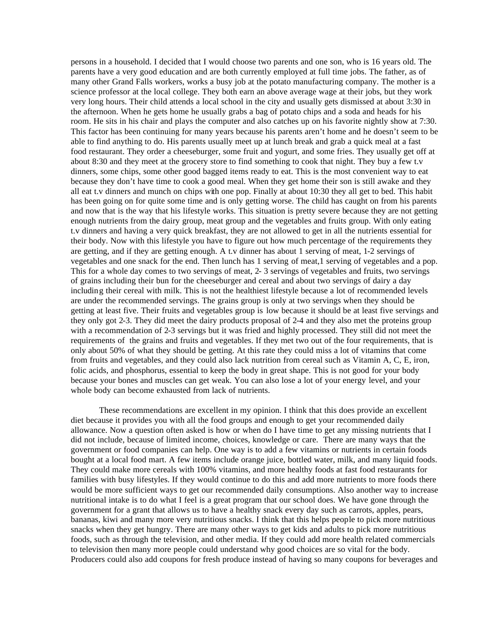persons in a household. I decided that I would choose two parents and one son, who is 16 years old. The parents have a very good education and are both currently employed at full time jobs. The father, as of many other Grand Falls workers, works a busy job at the potato manufacturing company. The mother is a science professor at the local college. They both earn an above average wage at their jobs, but they work very long hours. Their child attends a local school in the city and usually gets dismissed at about 3:30 in the afternoon. When he gets home he usually grabs a bag of potato chips and a soda and heads for his room. He sits in his chair and plays the computer and also catches up on his favorite nightly show at 7:30. This factor has been continuing for many years because his parents aren't home and he doesn't seem to be able to find anything to do. His parents usually meet up at lunch break and grab a quick meal at a fast food restaurant. They order a cheeseburger, some fruit and yogurt, and some fries. They usually get off at about 8:30 and they meet at the grocery store to find something to cook that night. They buy a few t.v dinners, some chips, some other good bagged items ready to eat. This is the most convenient way to eat because they don't have time to cook a good meal. When they get home their son is still awake and they all eat t.v dinners and munch on chips with one pop. Finally at about 10:30 they all get to bed. This habit has been going on for quite some time and is only getting worse. The child has caught on from his parents and now that is the way that his lifestyle works. This situation is pretty severe because they are not getting enough nutrients from the dairy group, meat group and the vegetables and fruits group. With only eating t.v dinners and having a very quick breakfast, they are not allowed to get in all the nutrients essential for their body. Now with this lifestyle you have to figure out how much percentage of the requirements they are getting, and if they are getting enough. A t.v dinner has about 1 serving of meat, 1-2 servings of vegetables and one snack for the end. Then lunch has 1 serving of meat,1 serving of vegetables and a pop. This for a whole day comes to two servings of meat, 2- 3 servings of vegetables and fruits, two servings of grains including their bun for the cheeseburger and cereal and about two servings of dairy a day including their cereal with milk. This is not the healthiest lifestyle because a lot of recommended levels are under the recommended servings. The grains group is only at two servings when they should be getting at least five. Their fruits and vegetables group is low because it should be at least five servings and they only got 2-3. They did meet the dairy products proposal of 2-4 and they also met the proteins group with a recommendation of 2-3 servings but it was fried and highly processed. They still did not meet the requirements of the grains and fruits and vegetables. If they met two out of the four requirements, that is only about 50% of what they should be getting. At this rate they could miss a lot of vitamins that come from fruits and vegetables, and they could also lack nutrition from cereal such as Vitamin A, C, E, iron, folic acids, and phosphorus, essential to keep the body in great shape. This is not good for your body because your bones and muscles can get weak. You can also lose a lot of your energy level, and your whole body can become exhausted from lack of nutrients.

These recommendations are excellent in my opinion. I think that this does provide an excellent diet because it provides you with all the food groups and enough to get your recommended daily allowance. Now a question often asked is how or when do I have time to get any missing nutrients that I did not include, because of limited income, choices, knowledge or care. There are many ways that the government or food companies can help. One way is to add a few vitamins or nutrients in certain foods bought at a local food mart. A few items include orange juice, bottled water, milk, and many liquid foods. They could make more cereals with 100% vitamins, and more healthy foods at fast food restaurants for families with busy lifestyles. If they would continue to do this and add more nutrients to more foods there would be more sufficient ways to get our recommended daily consumptions. Also another way to increase nutritional intake is to do what I feel is a great program that our school does. We have gone through the government for a grant that allows us to have a healthy snack every day such as carrots, apples, pears, bananas, kiwi and many more very nutritious snacks. I think that this helps people to pick more nutritious snacks when they get hungry. There are many other ways to get kids and adults to pick more nutritious foods, such as through the television, and other media. If they could add more health related commercials to television then many more people could understand why good choices are so vital for the body. Producers could also add coupons for fresh produce instead of having so many coupons for beverages and